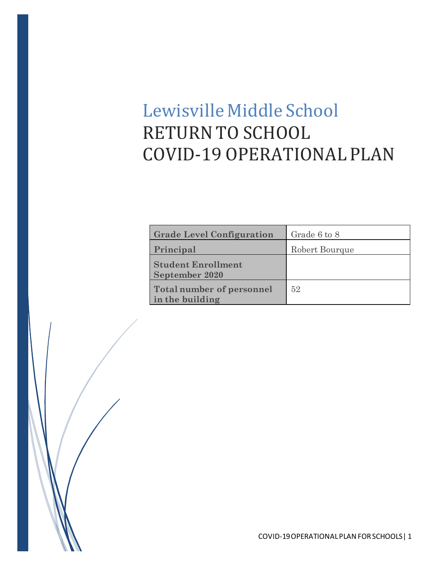# Lewisville Middle School RETURN TO SCHOOL COVID-19 OPERATIONAL PLAN

| <b>Grade Level Configuration</b>                    | Grade 6 to 8   |
|-----------------------------------------------------|----------------|
| Principal                                           | Robert Bourque |
| <b>Student Enrollment</b><br><b>September 2020</b>  |                |
| <b>Total number of personnel</b><br>in the building | 52             |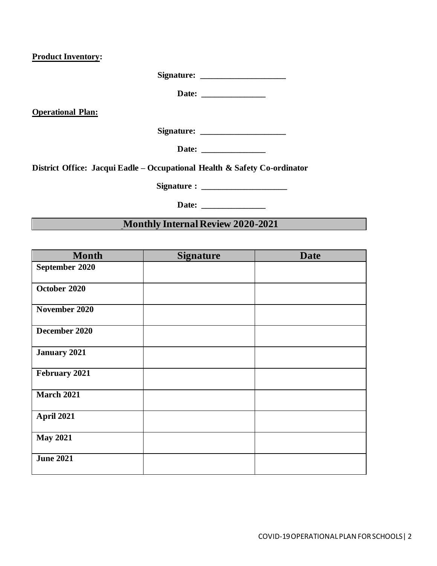**Product Inventory:** 

**Signature: \_\_\_\_\_\_\_\_\_\_\_\_\_\_\_\_\_\_\_\_**

**Date: \_\_\_\_\_\_\_\_\_\_\_\_\_\_\_**

**Operational Plan:** 

**Signature: \_\_\_\_\_\_\_\_\_\_\_\_\_\_\_\_\_\_\_\_**

**Date: \_\_\_\_\_\_\_\_\_\_\_\_\_\_\_**

**District Office: Jacqui Eadle – Occupational Health & Safety Co-ordinator**

**Signature : \_\_\_\_\_\_\_\_\_\_\_\_\_\_\_\_\_\_** 

Date:

**Monthly Internal Review 2020-2021**

| <b>Month</b>        | <b>Signature</b> | <b>Date</b> |
|---------------------|------------------|-------------|
| September 2020      |                  |             |
| October 2020        |                  |             |
| November 2020       |                  |             |
| December 2020       |                  |             |
| <b>January 2021</b> |                  |             |
| February 2021       |                  |             |
| <b>March 2021</b>   |                  |             |
| <b>April 2021</b>   |                  |             |
| <b>May 2021</b>     |                  |             |
| <b>June 2021</b>    |                  |             |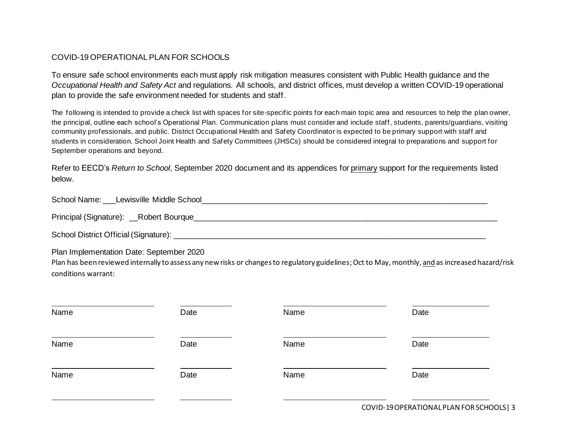## COVID-19 OPERATIONAL PLAN FOR SCHOOLS

To ensure safe school environments each must apply risk mitigation measures consistent with Public Health guidance and the *Occupational Health and Safety Act* and regulations. All schools, and district offices, must develop a written COVID-19 operational plan to provide the safe environment needed for students and staff.

The following is intended to provide a check list with spaces for site-specific points for each main topic area and resources to help the plan owner, the principal, outline each school's Operational Plan. Communication plans must consider and include staff, students, parents/guardians, visiting community professionals, and public. District Occupational Health and Safety Coordinator is expected to be primary support with staff and students in consideration. School Joint Health and Safety Committees (JHSCs) should be considered integral to preparations and support for September operations and beyond.

Refer to EECD's *Return to School*, September 2020 document and its appendices for primary support for the requirements listed below.

| School Name: Lewisville Middle School    |  |
|------------------------------------------|--|
| Principal (Signature): __Robert Bourque_ |  |
| School District Official (Signature):    |  |

Plan Implementation Date: September 2020

Plan has been reviewed internally to assess any new risks or changes to regulatory guidelines; Oct to May, monthly, and as increased hazard/risk conditions warrant:

| Name | Date | Name | Date |
|------|------|------|------|
| Name | Date | Name | Date |
| Name | Date | Name | Date |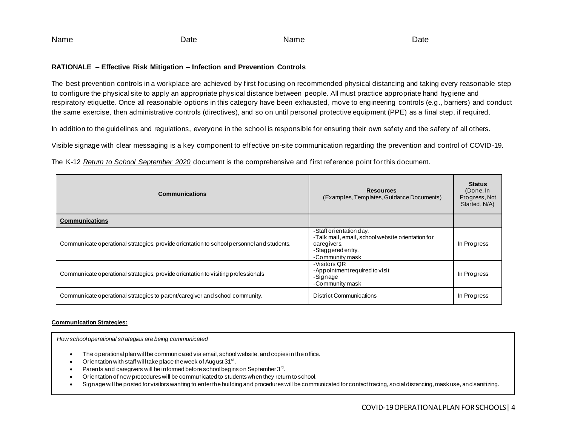| Name | Jate<br>. | Name | )ate |
|------|-----------|------|------|
|------|-----------|------|------|

## **RATIONALE – Effective Risk Mitigation – Infection and Prevention Controls**

The best prevention controls in a workplace are achieved by first focusing on recommended physical distancing and taking every reasonable step to configure the physical site to apply an appropriate physical distance between people. All must practice appropriate hand hygiene and respiratory etiquette. Once all reasonable options in this category have been exhausted, move to engineering controls (e.g., barriers) and conduct the same exercise, then administrative controls (directives), and so on until personal protective equipment (PPE) as a final step, if required.

In addition to the guidelines and regulations, everyone in the school is responsible for ensuring their own safety and the safety of all others.

Visible signage with clear messaging is a key component to effective on-site communication regarding the prevention and control of COVID-19.

The K-12 *Return to School September 2020* document is the comprehensive and first reference point for this document.

| <b>Communications</b>                                                                     | <b>Resources</b><br>(Examples, Templates, Guidance Documents)                                                                       | <b>Status</b><br>(Done, In<br>Progress, Not<br>Started, N/A) |
|-------------------------------------------------------------------------------------------|-------------------------------------------------------------------------------------------------------------------------------------|--------------------------------------------------------------|
| <b>Communications</b>                                                                     |                                                                                                                                     |                                                              |
| Communicate operational strategies, provide orientation to school personnel and students. | -Staff orientation day.<br>-Talk mail, email, school website orientation for<br>caregivers.<br>-Staggered entry.<br>-Community mask | In Progress                                                  |
| Communicate operational strategies, provide orientation to visiting professionals         | -Visitors QR<br>-Appointment required to visit<br>-Signage<br>-Community mask                                                       | In Progress                                                  |
| Communicate operational strategies to parent/caregiver and school community.              | <b>District Communications</b>                                                                                                      | In Progress                                                  |

#### **Communication Strategies:**

*How school operational strategies are being communicated*

- The operational plan will be communicated via email, school website, and copies in the office.
- Orientation with staff will take place the week of August  $31^{st}$ .
- Parents and caregivers will be informed before school begins on September  $3<sup>rd</sup>$ .
- Orientation of new procedures will be communicated to students when they return to school.
- Signage will be posted for visitors wanting to enter the building and procedures will be communicated for contact tracing, social distancing, mask use, and sanitizing.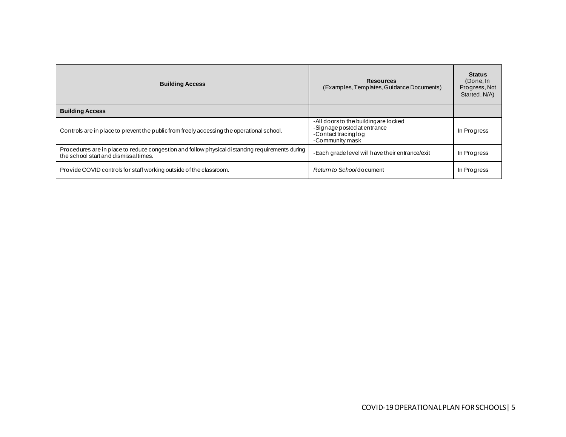| <b>Building Access</b>                                                                                                                   | <b>Resources</b><br>(Examples, Templates, Guidance Documents)                                                   | <b>Status</b><br>(Done, In<br>Progress, Not<br>Started, N/A) |
|------------------------------------------------------------------------------------------------------------------------------------------|-----------------------------------------------------------------------------------------------------------------|--------------------------------------------------------------|
| <b>Building Access</b>                                                                                                                   |                                                                                                                 |                                                              |
| Controls are in place to prevent the public from freely accessing the operational school.                                                | -All doors to the building are locked<br>-Signage posted at entrance<br>-Contact tracing log<br>-Community mask | In Progress                                                  |
| Procedures are in place to reduce congestion and follow physical distancing requirements during<br>the school start and dismissal times. | -Each grade level will have their entrance/exit                                                                 | In Progress                                                  |
| Provide COVID controls for staff working outside of the classroom.                                                                       | Return to Schooldocument                                                                                        | In Progress                                                  |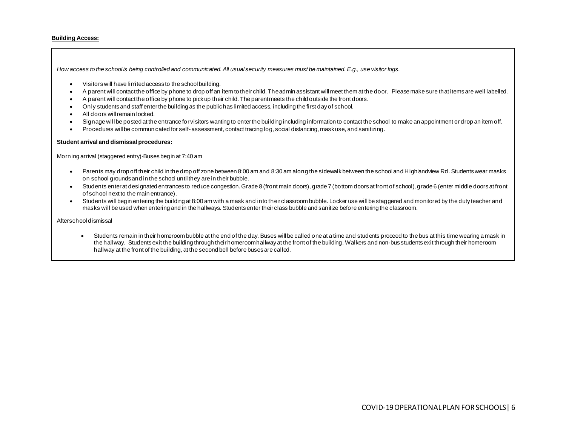#### **Building Access:**

*How access to the school is being controlled and communicated. All usual security measures must be maintained. E.g., use visitor logs.*

- Visitors will have limited access to the school building.
- A parent will contact the office by phone to drop off an item to their child. The admin assistant will meet them at the door. Please make sure that items are well labelled.
- A parent will contact the office by phone to pick up their child. The parent meets the child outside the front doors.
- Only students and staff enter the building as the public has limited access, including the first day of school.
- All doors will remain locked.
- Signage will be posted at the entrance for visitors wanting to enter the building including information to contact the school to make an appointment or drop an item off.
- Procedures will be communicated for self-assessment, contact tracing log, social distancing, mask use, and sanitizing.

#### **Student arrival and dismissal procedures:**

Morning arrival (staggered entry)-Buses begin at 7:40 am

- Parents may drop off their child in the drop off zone between 8:00 am and 8:30 am along the sidewalk between the school and Highlandview Rd. Students wear masks on school grounds and in the school until they are in their bubble.
- Students enter at designated entrances to reduce congestion. Grade 8 (front main doors), grade 7 (bottom doors at front of school), grade 6 (enter middle doors at front of school next to the main entrance).
- Students will begin entering the building at 8:00 am with a mask and into their classroom bubble. Locker use will be staggered and monitored by the duty teacher and masks will be used when entering and in the hallways. Students enter their class bubble and sanitize before entering the classroom.

#### Afterschool dismissal

• Students remain in their homeroom bubble at the end of the day. Buses will be called one at a time and students proceed to the bus at this time wearing a mask in the hallway. Students exit the building through their homeroom hallway at the front of the building. Walkers and non-bus students exit through their homeroom hallway at the front of the building, at the second bell before buses are called.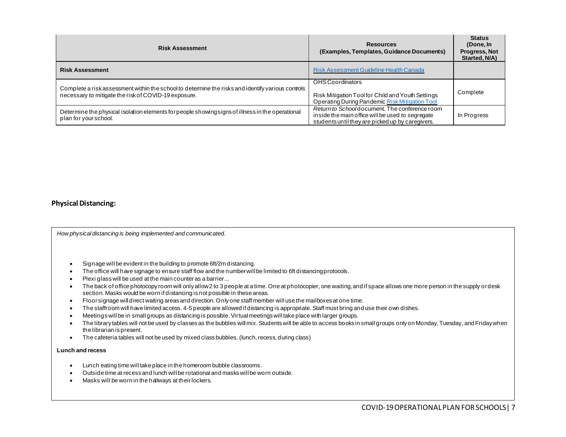| <b>Risk Assessment</b>                                                                                                    | <b>Resources</b><br>(Examples, Templates, Guidance Documents)                                                                                         | <b>Status</b><br>(Done, In<br><b>Progress, Not</b><br>Started, N/A) |
|---------------------------------------------------------------------------------------------------------------------------|-------------------------------------------------------------------------------------------------------------------------------------------------------|---------------------------------------------------------------------|
| <b>Risk Assessment</b>                                                                                                    | Risk Assessment Guideline Health Canada                                                                                                               |                                                                     |
| Complete a risk assessment within the school to determine the risks and identify various controls                         | OHS Coordinators                                                                                                                                      |                                                                     |
| necessary to mitigate the risk of COVID-19 exposure.                                                                      | Risk Mitigation Tool for Child and Youth Settings<br>Operating During Pandemic Risk Mitigation Tool                                                   | Complete                                                            |
| Determine the physical isolation elements for people showing signs of illness in the operational<br>plan for your school. | Return to Schooldocument. The conference room<br>inside the main office will be used to segregate<br>students until they are picked up by caregivers. | In Progress                                                         |

## **Physical Distancing:**

*How physical distancing is being implemented and communicated.*

- Signage will be evident in the building to promote 6ft/2m distancing.
- The office will have signage to ensure staff flow and the number will be limited to 6ft distancing protocols.
- Plexi glass will be used at the main counter as a barrier...
- The back of office photocopy room will only allow 2 to 3 people at a time. One at photocopier, one waiting, and if space allows one more person in the supply or desk section. Masks would be worn if distancing is not possible in these areas.
- Floor signage will direct waiting areas and direction. Only one staff member will use the mailboxes at one time.
- The staffroom will have limited access. 4-5 people are allowed if distancing is appropriate. Staff must bring and use their own dishes.
- Meetings will be in small groups as distancing is possible. Virtual meetings will take place with larger groups.
- The library tables will not be used by classes as the bubbles will mix. Students will be able to access books in small groups only on Monday, Tuesday, and Friday when the librarian is present.
- The cafeteria tables will not be used by mixed class bubbles. (lunch, recess, during class)

#### **Lunch and recess**

- Lunch eating time will take place in the homeroom bubble classrooms.
- Outside time at recess and lunch will be rotational and masks will be worn outside.
- Masks will be worn in the hallways at their lockers.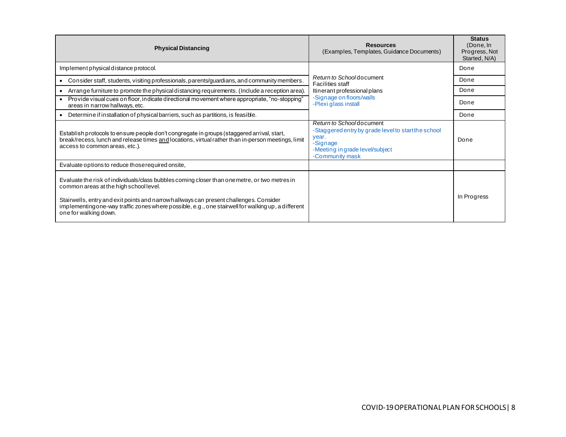| <b>Physical Distancing</b>                                                                                                                                                                                                                                                                                                                                     | <b>Resources</b><br>(Examples, Templates, Guidance Documents)                                                                                              | <b>Status</b><br>(Done, In<br>Progress, Not<br>Started, N/A) |
|----------------------------------------------------------------------------------------------------------------------------------------------------------------------------------------------------------------------------------------------------------------------------------------------------------------------------------------------------------------|------------------------------------------------------------------------------------------------------------------------------------------------------------|--------------------------------------------------------------|
| Implement physical distance protocol.                                                                                                                                                                                                                                                                                                                          |                                                                                                                                                            | Done                                                         |
| Consider staff, students, visiting professionals, parents/guardians, and community members.                                                                                                                                                                                                                                                                    | Return to Schooldocument<br><b>Facilities staff</b>                                                                                                        | Done                                                         |
| Arrange furniture to promote the physical distancing requirements. (Include a reception area).                                                                                                                                                                                                                                                                 | Itinerant professional plans                                                                                                                               | Done                                                         |
| • Provide visual cues on floor, indicate directional movement where appropriate, "no-stopping"<br>areas in narrow hallways, etc.                                                                                                                                                                                                                               | -Signage on floors/walls<br>-Plexi glass install                                                                                                           | Done                                                         |
| Determine if installation of physical barriers, such as partitions, is feasible.                                                                                                                                                                                                                                                                               |                                                                                                                                                            | Done                                                         |
| Establish protocols to ensure people don't congregate in groups (staggered arrival, start,<br>break/recess, lunch and release times and locations, virtual rather than in-person meetings, limit<br>access to common areas, etc.).                                                                                                                             | Return to Schooldocument<br>-Staggered entry by grade level to start the school<br>year.<br>-Signage<br>-Meeting in grade level/subject<br>-Community mask | Done                                                         |
| Evaluate options to reduce those required onsite,                                                                                                                                                                                                                                                                                                              |                                                                                                                                                            |                                                              |
| Evaluate the risk of individuals/class bubbles coming closer than one metre, or two metres in<br>common areas at the high school level.<br>Stairwells, entry and exit points and narrowhallways can present challenges. Consider<br>implementingone-way traffic zones where possible, e.g., one stairwell for walking up, a different<br>one for walking down. |                                                                                                                                                            | In Progress                                                  |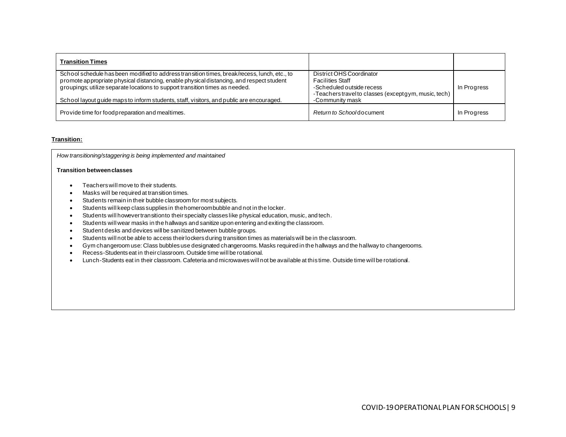| <b>Transition Times</b>                                                                                                                                                                  |                                                                                    |             |
|------------------------------------------------------------------------------------------------------------------------------------------------------------------------------------------|------------------------------------------------------------------------------------|-------------|
| School schedule has been modified to address transition times, break/recess, lunch, etc., to<br>promote appropriate physical distancing, enable physical distancing, and respect student | District OHS Coordinator<br><b>Facilities Staff</b>                                |             |
| groupings; utilize separate locations to support transition times as needed.                                                                                                             | -Scheduled outside recess<br>-Teachers travel to classes (except gym, music, tech) | In Progress |
| School layout quide maps to inform students, staff, visitors, and public are encouraged.                                                                                                 | -Community mask                                                                    |             |
| Provide time for food preparation and mealtimes.                                                                                                                                         | Return to Schoold ocument                                                          | In Progress |

#### **Transition:**

*How transitioning/staggering is being implemented and maintained*

#### **Transition between classes**

- Teachers will move to their students.
- Masks will be required at transition times.
- Students remain in their bubble classroom for most subjects.
- Students will keep class supplies in the homeroom bubble and not in the locker.
- Students will however transition to their specialty classes like physical education, music, and tech.
- Students will wear masks in the hallways and sanitize upon entering and exiting the classroom.
- Student desks and devices will be sanitized between bubble groups.
- Students will not be able to access their lockers during transition times as materials will be in the classroom.
- Gym changeroom use: Class bubbles use designated changerooms. Masks required in the hallways and the hallway to changerooms.
- Recess-Students eat in their classroom. Outside time will be rotational.
- Lunch-Students eat in their classroom. Cafeteria and microwaves will not be available at this time. Outside time will be rotational.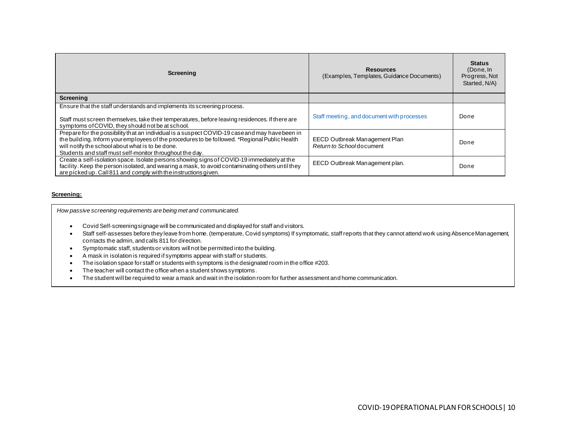| Screening                                                                                                                                                                                                                                                                                                       | <b>Resources</b><br>(Examples, Templates, Guidance Documents) | <b>Status</b><br>(Done, In<br>Progress, Not<br>Started, N/A) |
|-----------------------------------------------------------------------------------------------------------------------------------------------------------------------------------------------------------------------------------------------------------------------------------------------------------------|---------------------------------------------------------------|--------------------------------------------------------------|
| <b>Screening</b>                                                                                                                                                                                                                                                                                                |                                                               |                                                              |
| Ensure that the staff understands and implements its screening process.<br>Staff must screen themselves, take their temperatures, before leaving residences. If there are<br>symptoms of COVID, they should not be at school.                                                                                   | Staff meeting, and document with processes                    | Done                                                         |
| Prepare for the possibility that an individual is a suspect COVID-19 case and may have been in<br>the building. Inform your employees of the procedures to be followed. *Regional Public Health<br>will notify the school about what is to be done.<br>Students and staff must self-monitor throughout the day. | EECD Outbreak Management Plan<br>Return to Schooldocument     | Done                                                         |
| Create a self-isolation space. Isolate persons showing signs of COVID-19 immediately at the<br>facility. Keep the person isolated, and wearing a mask, to avoid contaminating others until they<br>are picked up. Call 811 and comply with the instructions given.                                              | EECD Outbreak Management plan.                                | Done                                                         |

#### **Screening:**

*How passive screening requirements are being met and communicated.*

- Covid Self-screening signage will be communicated and displayed for staff and visitors.
- Staff self-assesses before they leave from home. (temperature, Covid symptoms) If symptomatic, staff reports that they cannot attend work using Absence Management, contacts the admin, and calls 811 for direction.
- Symptomatic staff, students or visitors will not be permitted into the building.
- A mask in isolation is required if symptoms appear with staff or students.
- The isolation space for staff or students with symptoms is the designated room in the office #203.
- The teacher will contact the office when a student shows symptoms.
- The student will be required to wear a mask and wait in the isolation room for further assessment and home communication.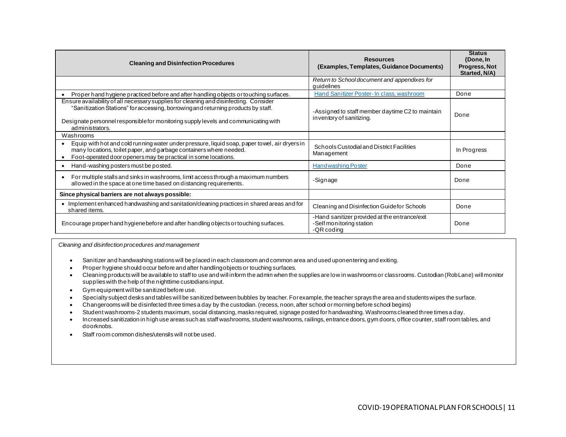| <b>Cleaning and Disinfection Procedures</b>                                                                                                                                                                                                                                          | <b>Resources</b><br>(Examples, Templates, Guidance Documents)                           | <b>Status</b><br>(Done, In<br><b>Progress, Not</b><br>Started, N/A) |
|--------------------------------------------------------------------------------------------------------------------------------------------------------------------------------------------------------------------------------------------------------------------------------------|-----------------------------------------------------------------------------------------|---------------------------------------------------------------------|
|                                                                                                                                                                                                                                                                                      | Return to School document and appendixes for<br>quidelines                              |                                                                     |
| Proper hand hygiene practiced before and after handling objects or touching surfaces.                                                                                                                                                                                                | Hand Sanitizer Poster-In class, washroom                                                | Done                                                                |
| Ensure availability of all necessary supplies for cleaning and disinfecting. Consider<br>"Sanitization Stations" for accessing, borrowing and returning products by staff.<br>Designate personnel responsible for monitoring supply levels and communicating with<br>administrators. | -Assigned to staff member daytime C2 to maintain<br>inventory of sanitizing.            | Done                                                                |
| Washrooms                                                                                                                                                                                                                                                                            |                                                                                         |                                                                     |
| Equip with hot and cold running water under pressure, liquid soap, paper to wel, air dryers in<br>many locations, to ilet paper, and garbage containers where needed.<br>Foot-operated door openers may be practical in some locations.                                              | Schools Custodial and District Facilities<br>Management                                 | In Progress                                                         |
| Hand-washing posters must be posted.<br>$\bullet$                                                                                                                                                                                                                                    | <b>Handwashing Poster</b>                                                               | Done                                                                |
| For multiple stalls and sinks in washrooms, limit access through a maximum numbers<br>allowed in the space at one time based on distancing requirements.                                                                                                                             | -Signage                                                                                | Done                                                                |
| Since physical barriers are not always possible:                                                                                                                                                                                                                                     |                                                                                         |                                                                     |
| • Implement enhanced handwashing and sanitation/cleaning practices in shared areas and for<br>shared items.                                                                                                                                                                          | Cleaning and Disinfection Guide for Schools                                             | Done                                                                |
| Encourage proper hand hygiene before and after handling objects or touching surfaces.                                                                                                                                                                                                | -Hand sanitizer provided at the entrance/exit<br>-Self monitoring station<br>-QR coding | Done                                                                |

*Cleaning and disinfection procedures and management*

- Sanitizer and handwashing stations will be placed in each classroom and common area and used upon entering and exiting.
- Proper hygiene should occur before and after handling objects or touching surfaces.
- Cleaning products will be available to staff to use and will inform the admin when the supplies are low in washrooms or classrooms. Custodian (Rob Lane) will monitor supplies with the help of the nighttime custodians input.
- Gym equipment will be sanitized before use.
- Specialty subject desks and tables will be sanitized between bubbles by teacher. For example, the teacher sprays the area and students wipes the surface.
- Changerooms will be disinfected three times a day by the custodian. (recess, noon, after school or morning before school begins)
- Student washrooms-2 students maximum, social distancing, masks required, signage posted for handwashing. Washrooms cleaned three times a day.
- Increased sanitization in high use areas such as staff washrooms, student washrooms, railings, entrance doors, gym doors, office counter, staff room tables, and doorknobs.
- Staff room common dishes/utensils will not be used.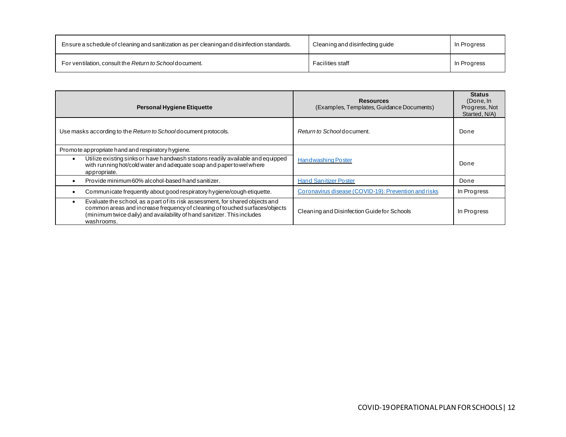| Ensure a schedule of cleaning and sanitization as per cleaning and disinfection standards. | Cleaning and disinfecting guide | In Progress |
|--------------------------------------------------------------------------------------------|---------------------------------|-------------|
| For ventilation, consult the Return to Schooldocument.                                     | <b>Facilities staff</b>         | In Progress |

| <b>Personal Hygiene Etiquette</b>                                                                                                                                                                                                                     | <b>Resources</b><br>(Examples, Templates, Guidance Documents) | <b>Status</b><br>(Done, In<br>Progress, Not<br>Started, N/A) |
|-------------------------------------------------------------------------------------------------------------------------------------------------------------------------------------------------------------------------------------------------------|---------------------------------------------------------------|--------------------------------------------------------------|
| Use masks according to the Return to School document protocols.                                                                                                                                                                                       | Return to Schoold ocument.                                    | Done                                                         |
| Promote appropriate hand and respiratory hygiene.                                                                                                                                                                                                     |                                                               |                                                              |
| Utilize existing sinks or have handwash stations readily available and equipped<br>with running hot/cold water and adequate soap and paper to wel where<br>appropriate.                                                                               | <b>Handwashing Poster</b>                                     | Done                                                         |
| Provide minimum 60% alcohol-based hand sanitizer.                                                                                                                                                                                                     | <b>Hand Sanitizer Poster</b>                                  | Done                                                         |
| Communicate frequently about good respiratory hygiene/cough etiquette.                                                                                                                                                                                | Coronavirus disease (COVID-19): Prevention and risks          | In Progress                                                  |
| Evaluate the school, as a part of its risk assessment, for shared objects and<br>common areas and increase frequency of cleaning of touched surfaces/objects<br>(minimum twice daily) and availability of hand sanitizer. This includes<br>washrooms. | Cleaning and Disinfection Guide for Schools                   | In Progress                                                  |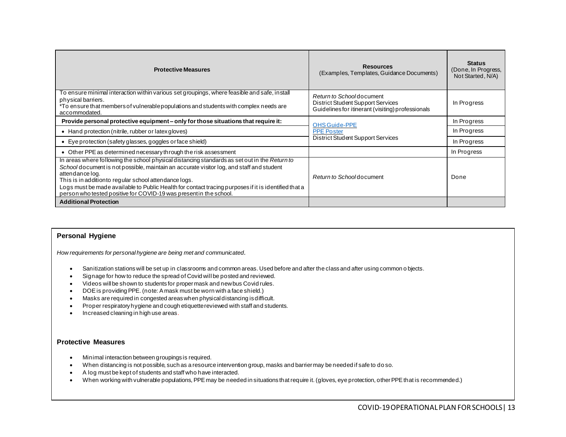| <b>Protective Measures</b>                                                                                                                                                                                                                                                                                                                                                                                                                           | <b>Resources</b><br>(Examples, Templates, Guidance Documents)                                                      | <b>Status</b><br>(Done, In Progress,<br>Not Started, N/A) |
|------------------------------------------------------------------------------------------------------------------------------------------------------------------------------------------------------------------------------------------------------------------------------------------------------------------------------------------------------------------------------------------------------------------------------------------------------|--------------------------------------------------------------------------------------------------------------------|-----------------------------------------------------------|
| To ensure minimal interaction within various set groupings, where feasible and safe, install<br>physical barriers.<br>*To ensure that members of vulnerable populations and students with complex needs are<br>accommodated.                                                                                                                                                                                                                         | Return to Schooldocument<br>District Student Support Services<br>Guidelines for itinerant (visiting) professionals | In Progress                                               |
| Provide personal protective equipment – only for those situations that require it:                                                                                                                                                                                                                                                                                                                                                                   | <b>OHS Guide-PPE</b><br><b>PPE Poster</b><br>District Student Support Services                                     | In Progress                                               |
| • Hand protection (nitrile, rubber or latex gloves)                                                                                                                                                                                                                                                                                                                                                                                                  |                                                                                                                    | In Progress                                               |
| • Eye protection (safety glasses, goggles or face shield)                                                                                                                                                                                                                                                                                                                                                                                            |                                                                                                                    | In Progress                                               |
| • Other PPE as determined necessary through the risk assessment                                                                                                                                                                                                                                                                                                                                                                                      |                                                                                                                    | In Progress                                               |
| In areas where following the school physical distancing standards as set out in the Return to<br>School do cument is not possible, maintain an accurate visitor log, and staff and student<br>attendance log.<br>This is in additionto regular school attendance logs.<br>Logs must be made available to Public Health for contact tracing purposes if it is identified that a<br>person who tested positive for COVID-19 was present in the school. | Return to Schoold ocument                                                                                          | Done                                                      |
| <b>Additional Protection</b>                                                                                                                                                                                                                                                                                                                                                                                                                         |                                                                                                                    |                                                           |

## **Personal Hygiene**

*How requirements for personal hygiene are being met and communicated.* 

- Sanitization stations will be set up in classrooms and common areas. Used before and after the class and after using common o bjects.
- Signage for how to reduce the spread of Covid will be posted and reviewed.
- Videos will be shown to students for proper mask and new bus Covid rules.
- DOE is providing PPE. (note: A mask must be worn with a face shield.)
- Masks are required in congested areas when physical distancing is difficult.
- Proper respiratory hygiene and cough etiquette reviewed with staff and students.
- Increased cleaning in high use areas.

### **Protective Measures**

- Minimal interaction between groupings is required.
- When distancing is not possible, such as a resource intervention group, masks and barrier may be needed if safe to do so.
- A log must be kept of students and staff who have interacted.
- When working with vulnerable populations, PPE may be needed in situations that require it. (gloves, eye protection, other PPE that is recommended.)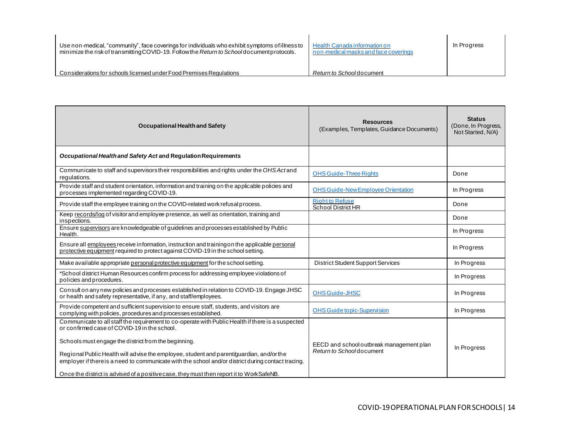| Use non-medical, "community", face coverings for individuals who exhibit symptoms of illness to<br>minimize the risk of transmitting COVID-19. Follow the Return to School document protocols. | Health Canada information on<br>non-medical masks and face coverings | In Progress |
|------------------------------------------------------------------------------------------------------------------------------------------------------------------------------------------------|----------------------------------------------------------------------|-------------|
| Considerations for schools licensed under Food Premises Regulations                                                                                                                            | Return to Schooldocument                                             |             |

| <b>Occupational Health and Safety</b>                                                                                                                                                         | <b>Resources</b><br>(Examples, Templates, Guidance Documents)        | <b>Status</b><br>(Done, In Progress,<br>Not Started, N/A) |
|-----------------------------------------------------------------------------------------------------------------------------------------------------------------------------------------------|----------------------------------------------------------------------|-----------------------------------------------------------|
| Occupational Health and Safety Act and Regulation Requirements                                                                                                                                |                                                                      |                                                           |
| Communicate to staff and supervisors their responsibilities and rights under the OHS Act and<br>regulations.                                                                                  | <b>OHS Guide-Three Rights</b>                                        | Done                                                      |
| Provide staff and student orientation, information and training on the applicable policies and<br>processes implemented regarding COVID-19.                                                   | <b>OHS Guide-New Employee Orientation</b>                            | In Progress                                               |
| Provide staff the employee training on the COVID-related work refusal process.                                                                                                                | <b>Right to Refuse</b><br>School District HR                         | Done                                                      |
| Keep records/log of visitor and employee presence, as well as orientation, training and<br>inspections.                                                                                       |                                                                      | Done                                                      |
| Ensure supervisors are knowledgeable of guidelines and processes established by Public<br>Health.                                                                                             |                                                                      | In Progress                                               |
| Ensure all employees receive information, instruction and training on the applicable personal<br>protective equipment required to protect against COVID-19 in the school setting.             |                                                                      | In Progress                                               |
| Make available appropriate personal protective equipment for the school setting.                                                                                                              | District Student Support Services                                    | In Progress                                               |
| *School district Human Resources confirm process for addressing employee violations of<br>policies and procedures.                                                                            |                                                                      | In Progress                                               |
| Consult on any new policies and processes established in relation to COVID-19. Engage JHSC<br>or health and safety representative, if any, and staff/employees.                               | <b>OHS Guide-JHSC</b>                                                | In Progress                                               |
| Provide competent and sufficient supervision to ensure staff, students, and visitors are<br>complying with policies, procedures and processes established.                                    | <b>OHS Guide topic-Supervision</b>                                   | In Progress                                               |
| Communicate to all staff the requirement to co-operate with Public Health if there is a suspected<br>or confirmed case of COVID-19 in the school.                                             |                                                                      |                                                           |
| Schools must engage the district from the beginning.                                                                                                                                          | EECD and school outbreak management plan<br>Return to Schooldocument | In Progress                                               |
| Regional Public Health will advise the employee, student and parent/guardian, and/orthe<br>employer if there is a need to communicate with the school and/or district during contact tracing. |                                                                      |                                                           |
| Once the district is advised of a positive case, they must then report it to WorkSafeNB.                                                                                                      |                                                                      |                                                           |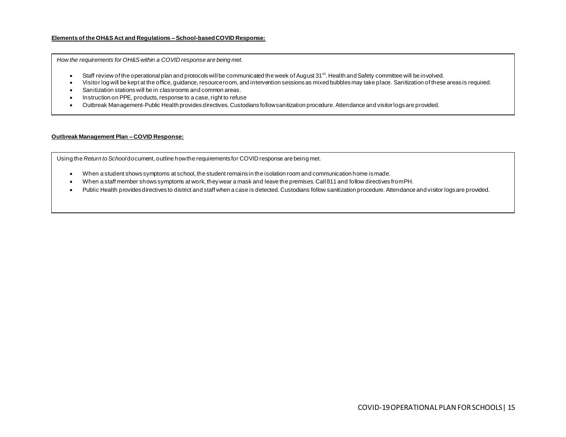#### **Elements of the OH&S Act and Regulations – School-based COVID Response:**

*How the requirements for OH&S within a COVID response are being met.*

- Staff review of the operational plan and protocols will be communicated the week of August 31<sup>st</sup>. Health and Safety committee will be involved.
- Visitor log will be kept at the office, guidance, resource room, and intervention sessions as mixed bubbles may take place. Sanitization of these areas is required.
- Sanitization stations will be in classrooms and common areas.
- Instruction on PPE, products, response to a case, right to refuse
- Outbreak Management-Public Health provides directives. Custodians follow sanitization procedure. Attendance and visitor logs are provided.

#### **Outbreak Management Plan – COVID Response:**

Using the *Return to School* document, outline how the requirements for COVID response are being met.

- When a student shows symptoms at school, the student remains in the isolation room and communication home is made.
- When a staff member shows symptoms at work, they wear a mask and leave the premises. Call 811 and follow directives from PH.
- Public Health provides directives to district and staff when a case is detected. Custodians follow sanitization procedure. Attendance and visitor logs are provided.